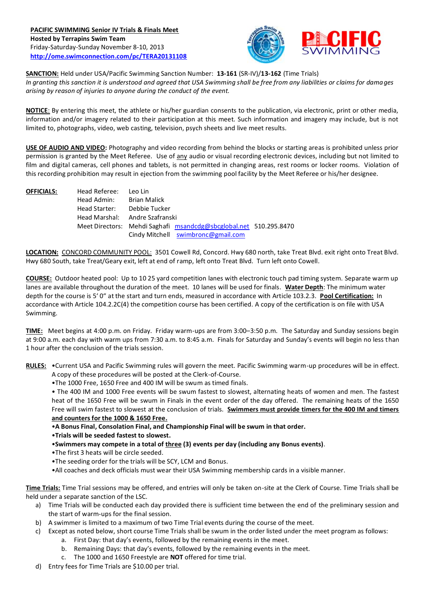

**SANCTION:** Held under USA/Pacific Swimming Sanction Number: **13-161** (SR-IV)/**13-162** (Time Trials) *In granting this sanction it is understood and agreed that USA Swimming shall be free from any liabilities or claims for damages arising by reason of injuries to anyone during the conduct of the event.*

**NOTICE**: By entering this meet, the athlete or his/her guardian consents to the publication, via electronic, print or other media, information and/or imagery related to their participation at this meet. Such information and imagery may include, but is not limited to, photographs, video, web casting, television, psych sheets and live meet results.

**USE OF AUDIO AND VIDEO:** Photography and video recording from behind the blocks or starting areas is prohibited unless prior permission is granted by the Meet Referee. Use of any audio or visual recording electronic devices, including but not limited to film and digital cameras, cell phones and tablets, is not permitted in changing areas, rest rooms or locker rooms. Violation of this recording prohibition may result in ejection from the swimming pool facility by the Meet Referee or his/her designee.

**OFFICIALS:** Head Referee: Leo Lin Head Admin: Brian Malick Head Starter: Debbie Tucker Head Marshal: Andre Szafranski Meet Directors: Mehdi Saghafi [msandcdg@sbcglobal.net](mailto:msandcdg@sbcglobal.net) 510.295.8470 Cindy Mitchell [swimbronc@gmail.com](mailto:swimbronc@gmail.com)

**LOCATION:** CONCORD COMMUNITY POOL: 3501 Cowell Rd, Concord. Hwy 680 north, take Treat Blvd. exit right onto Treat Blvd. Hwy 680 South, take Treat/Geary exit, left at end of ramp, left onto Treat Blvd. Turn left onto Cowell.

**COURSE:** Outdoor heated pool: Up to 10 25 yard competition lanes with electronic touch pad timing system. Separate warm up lanes are available throughout the duration of the meet. 10 lanes will be used for finals. **Water Depth**: The minimum water depth for the course is 5' 0" at the start and turn ends, measured in accordance with Article 103.2.3. **Pool Certification:** In accordance with Article 104.2.2C(4) the competition course has been certified. A copy of the certification is on file with USA Swimming.

**TIME:** Meet begins at 4:00 p.m. on Friday. Friday warm-ups are from 3:00–3:50 p.m. The Saturday and Sunday sessions begin at 9:00 a.m. each day with warm ups from 7:30 a.m. to 8:45 a.m. Finals for Saturday and Sunday's events will begin no less than 1 hour after the conclusion of the trials session.

**RULES:** •Current USA and Pacific Swimming rules will govern the meet. Pacific Swimming warm-up procedures will be in effect. A copy of these procedures will be posted at the Clerk-of-Course.

•The 1000 Free, 1650 Free and 400 IM will be swum as timed finals.

• The 400 IM and 1000 Free events will be swum fastest to slowest, alternating heats of women and men. The fastest heat of the 1650 Free will be swum in Finals in the event order of the day offered. The remaining heats of the 1650 Free will swim fastest to slowest at the conclusion of trials. **Swimmers must provide timers for the 400 IM and timers and counters for the 1000 & 1650 Free.**

•**A Bonus Final, Consolation Final, and Championship Final will be swum in that order.**

•**Trials will be seeded fastest to slowest.**

- •**Swimmers may compete in a total of three (3) events per day (including any Bonus events)**.
- •The first 3 heats will be circle seeded.
- •The seeding order for the trials will be SCY, LCM and Bonus.
- •All coaches and deck officials must wear their USA Swimming membership cards in a visible manner.

**Time Trials:** Time Trial sessions may be offered, and entries will only be taken on-site at the Clerk of Course. Time Trials shall be held under a separate sanction of the LSC.

- a) Time Trials will be conducted each day provided there is sufficient time between the end of the preliminary session and the start of warm-ups for the final session.
- b) A swimmer is limited to a maximum of two Time Trial events during the course of the meet.
- c) Except as noted below, short course Time Trials shall be swum in the order listed under the meet program as follows:
	- a. First Day: that day's events, followed by the remaining events in the meet.
	- b. Remaining Days: that day's events, followed by the remaining events in the meet.
	- c. The 1000 and 1650 Freestyle are **NOT** offered for time trial.
- d) Entry fees for Time Trials are \$10.00 per trial.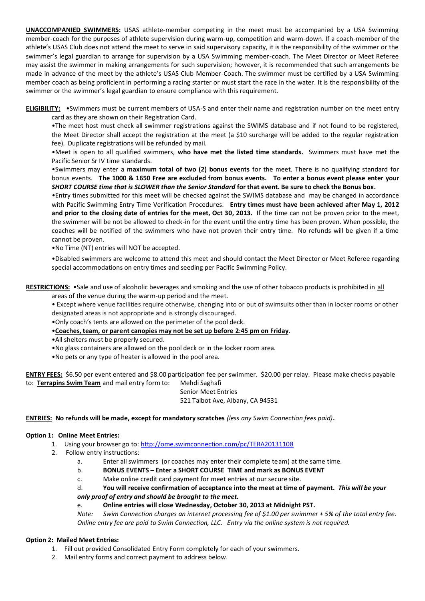**UNACCOMPANIED SWIMMERS:** USAS athlete-member competing in the meet must be accompanied by a USA Swimming member-coach for the purposes of athlete supervision during warm-up, competition and warm-down. If a coach-member of the athlete's USAS Club does not attend the meet to serve in said supervisory capacity, it is the responsibility of the swimmer or the swimmer's legal guardian to arrange for supervision by a USA Swimming member-coach. The Meet Director or Meet Referee may assist the swimmer in making arrangements for such supervision; however, it is recommended that such arrangements be made in advance of the meet by the athlete's USAS Club Member-Coach. The swimmer must be certified by a USA Swimming member coach as being proficient in performing a racing starter or must start the race in the water. It is the responsibility of the swimmer or the swimmer's legal guardian to ensure compliance with this requirement.

**ELIGIBILITY:** •Swimmers must be current members of USA-S and enter their name and registration number on the meet entry card as they are shown on their Registration Card.

•The meet host must check all swimmer registrations against the SWIMS database and if not found to be registered, the Meet Director shall accept the registration at the meet (a \$10 surcharge will be added to the regular registration fee). Duplicate registrations will be refunded by mail.

•Meet is open to all qualified swimmers, **who have met the listed time standards.** Swimmers must have met the Pacific Senior Sr IV time standards.

•Swimmers may enter a **maximum total of two (2) bonus events** for the meet. There is no qualifying standard for bonus events. **The 1000 & 1650 Free are excluded from bonus events. To enter a bonus event please enter your**  *SHORT COURSE time that is SLOWER than the Senior Standard* **for that event. Be sure to check the Bonus box.**

*•*Entry times submitted for this meet will be checked against the SWIMS database and may be changed in accordance with Pacific Swimming Entry Time Verification Procedures. **Entry times must have been achieved after May 1, 2012 and prior to the closing date of entries for the meet, Oct 30, 2013.** If the time can not be proven prior to the meet, the swimmer will be not be allowed to check-in for the event until the entry time has been proven. When possible, the coaches will be notified of the swimmers who have not proven their entry time. No refunds will be given if a time cannot be proven.

•No Time (NT) entries will NOT be accepted.

•Disabled swimmers are welcome to attend this meet and should contact the Meet Director or Meet Referee regarding special accommodations on entry times and seeding per Pacific Swimming Policy.

**RESTRICTIONS:** •Sale and use of alcoholic beverages and smoking and the use of other tobacco products is prohibited in all

areas of the venue during the warm-up period and the meet.

• Except where venue facilities require otherwise, changing into or out of swimsuits other than in locker rooms or other designated areas is not appropriate and is strongly discouraged.

•Only coach's tents are allowed on the perimeter of the pool deck.

•**Coaches, team, or parent canopies may not be set up before 2:45 pm on Friday**.

•All shelters must be properly secured.

•No glass containers are allowed on the pool deck or in the locker room area.

•No pets or any type of heater is allowed in the pool area.

**ENTRY FEES:** \$6.50 per event entered and \$8.00 participation fee per swimmer. \$20.00 per relay. Please make checks payable to: **Terrapins Swim Team** and mail entry form to: Mehdi Saghafi

> Senior Meet Entries 521 Talbot Ave, Albany, CA 94531

# **ENTRIES: No refunds will be made, except for mandatory scratches** *(less any Swim Connection fees paid)***.**

#### **Option 1: Online Meet Entries:**

- 1. Using your browser go to:<http://ome.swimconnection.com/pc/TERA20131108>
- 2. Follow entry instructions:
	- a. Enter all swimmers (or coaches may enter their complete team) at the same time.
	- b. **BONUS EVENTS – Enter a SHORT COURSE TIME and mark as BONUS EVENT**
	- c. Make online credit card payment for meet entries at our secure site.

d. **You will receive confirmation of acceptance into the meet at time of payment.** *This will be your only proof of entry and should be brought to the meet.*

# e. **Online entries will close Wednesday, October 30, 2013 at Midnight PST.**

*Note: Swim Connection charges an internet processing fee of \$1.00 per swimmer + 5% of the total entry fee. Online entry fee are paid to Swim Connection, LLC. Entry via the online system is not required.*

# **Option 2: Mailed Meet Entries:**

- 1. Fill out provided Consolidated Entry Form completely for each of your swimmers.
- 2. Mail entry forms and correct payment to address below.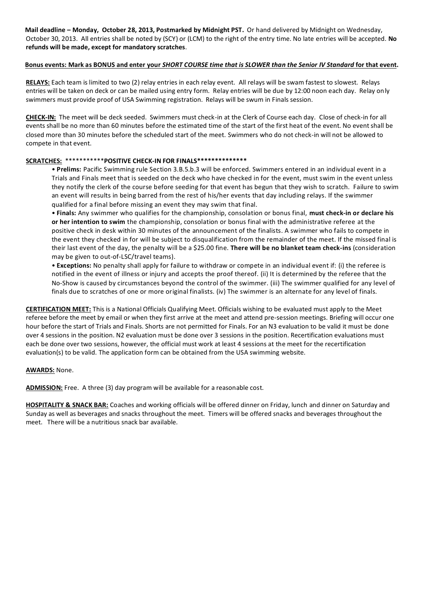**Mail deadline – Monday, October 28, 2013, Postmarked by Midnight PST.** Or hand delivered by Midnight on Wednesday, October 30, 2013. All entries shall be noted by (SCY) or (LCM) to the right of the entry time. No late entries will be accepted. **No refunds will be made, except for mandatory scratches**.

#### **Bonus events: Mark as BONUS and enter your** *SHORT COURSE time that is SLOWER than the Senior IV Standard* **for that event.**

**RELAYS:** Each team is limited to two (2) relay entries in each relay event. All relays will be swam fastest to slowest. Relays entries will be taken on deck or can be mailed using entry form. Relay entries will be due by 12:00 noon each day. Relay only swimmers must provide proof of USA Swimming registration. Relays will be swum in Finals session.

**CHECK-IN:** The meet will be deck seeded. Swimmers must check-in at the Clerk of Course each day. Close of check‐in for all events shall be no more than 60 minutes before the estimated time of the start of the first heat of the event. No event shall be closed more than 30 minutes before the scheduled start of the meet. Swimmers who do not check-in will not be allowed to compete in that event.

## **SCRATCHES:** \*\*\*\*\*\*\*\*\*\*\***POSITIVE CHECK-IN FOR FINALS\*\*\*\*\*\*\*\*\*\*\*\*\*\***

• **Prelims:** Pacific Swimming rule Section 3.B.5.b.3 will be enforced. Swimmers entered in an individual event in a Trials and Finals meet that is seeded on the deck who have checked in for the event, must swim in the event unless they notify the clerk of the course before seeding for that event has begun that they wish to scratch. Failure to swim an event will results in being barred from the rest of his/her events that day including relays. If the swimmer qualified for a final before missing an event they may swim that final.

• **Finals:** Any swimmer who qualifies for the championship, consolation or bonus final, **must check-in or declare his or her intention to swim** the championship, consolation or bonus final with the administrative referee at the positive check in desk within 30 minutes of the announcement of the finalists. A swimmer who fails to compete in the event they checked in for will be subject to disqualification from the remainder of the meet. If the missed final is their last event of the day, the penalty will be a \$25.00 fine. **There will be no blanket team check-ins** (consideration may be given to out-of-LSC/travel teams).

• **Exceptions:** No penalty shall apply for failure to withdraw or compete in an individual event if: (i) the referee is notified in the event of illness or injury and accepts the proof thereof. (ii) It is determined by the referee that the No-Show is caused by circumstances beyond the control of the swimmer. (iii) The swimmer qualified for any level of finals due to scratches of one or more original finalists. (iv) The swimmer is an alternate for any level of finals.

**CERTIFICATION MEET:** This is a National Officials Qualifying Meet. Officials wishing to be evaluated must apply to the Meet referee before the meet by email or when they first arrive at the meet and attend pre-session meetings. Briefing will occur one hour before the start of Trials and Finals. Shorts are not permitted for Finals. For an N3 evaluation to be valid it must be done over 4 sessions in the position. N2 evaluation must be done over 3 sessions in the position. Recertification evaluations must each be done over two sessions, however, the official must work at least 4 sessions at the meet for the recertification evaluation(s) to be valid. The application form can be obtained from the USA swimming website.

#### **AWARDS:** None.

**ADMISSION:** Free. A three (3) day program will be available for a reasonable cost.

**HOSPITALITY & SNACK BAR:** Coaches and working officials will be offered dinner on Friday, lunch and dinner on Saturday and Sunday as well as beverages and snacks throughout the meet. Timers will be offered snacks and beverages throughout the meet. There will be a nutritious snack bar available.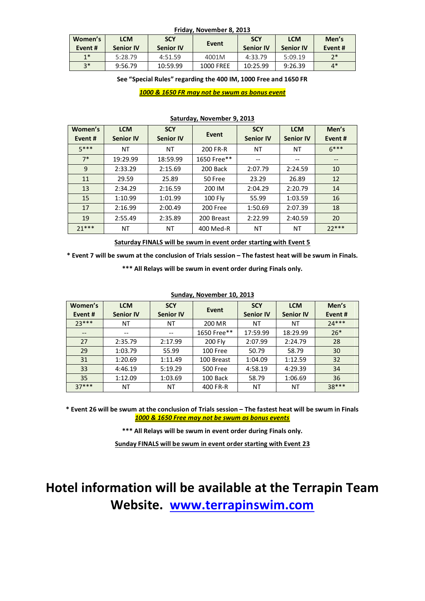| <b>Friday, NOVEMBER 6, 2015</b> |                          |                  |                  |                  |                  |        |  |
|---------------------------------|--------------------------|------------------|------------------|------------------|------------------|--------|--|
| Women's                         | <b>LCM</b><br><b>SCY</b> |                  | Event            |                  | <b>LCM</b>       | Men's  |  |
| Event#                          | <b>Senior IV</b>         | <b>Senior IV</b> |                  | <b>Senior IV</b> | <b>Senior IV</b> | Event# |  |
| $1*$                            | 5:28.79                  | 4:51.59          | 4001M            | 4:33.79          | 5:09.19          | $7*$   |  |
| $3*$                            | 9:56.79                  | 10:59.99         | <b>1000 FREE</b> | 10:25.99         | 9:26.39          | $4*$   |  |

**Friday, November 8, 2013**

**See "Special Rules" regarding the 400 IM, 1000 Free and 1650 FR**

#### *1000 & 1650 FR may not be swum as bonus event*

| Women's<br>Event# | <b>LCM</b><br><b>Senior IV</b> | <b>SCY</b><br><b>Senior IV</b> | Event       | <b>SCY</b><br><b>Senior IV</b> | <b>LCM</b><br><b>Senior IV</b> | Men's<br>Event#   |
|-------------------|--------------------------------|--------------------------------|-------------|--------------------------------|--------------------------------|-------------------|
| $5***$            | ΝT                             | ΝT                             | 200 FR-R    | ΝT                             | ΝT                             | $6***$            |
| $7*$              | 19:29.99                       | 18:59.99                       | 1650 Free** | --                             | --                             | $\qquad \qquad -$ |
| 9                 | 2:33.29                        | 2:15.69                        | 200 Back    | 2:07.79                        | 2:24.59                        | 10                |
| 11                | 29.59                          | 25.89                          | 50 Free     | 23.29                          | 26.89                          | 12                |
| 13                | 2:34.29                        | 2:16.59                        | 200 IM      | 2:04.29                        | 2:20.79                        | 14                |
| 15                | 1:10.99                        | 1:01.99                        | 100 Fly     | 55.99                          | 1:03.59                        | 16                |
| 17                | 2:16.99                        | 2:00.49                        | 200 Free    | 1:50.69                        | 2:07.39                        | 18                |
| 19                | 2:55.49                        | 2:35.89                        | 200 Breast  | 2:22.99                        | 2:40.59                        | 20                |
| $71***$           | ΝT                             | ΝT                             | 400 Med-R   | ΝT                             | ΝT                             | $72***$           |

#### **Saturday, November 9, 2013**

**Saturday FINALS will be swum in event order starting with Event 5**

**\* Event 7 will be swum at the conclusion of Trials session – The fastest heat will be swum in Finals. \*\*\* All Relays will be swum in event order during Finals only.**

| Women's<br>Event#        | <b>LCM</b><br><b>Senior IV</b> | <b>SCY</b><br><b>Senior IV</b> | Event          | <b>SCY</b><br><b>Senior IV</b> | <b>LCM</b><br><b>Senior IV</b> | Men's<br>Event# |  |  |
|--------------------------|--------------------------------|--------------------------------|----------------|--------------------------------|--------------------------------|-----------------|--|--|
| $23***$                  | ΝT                             | ΝT                             | 200 MR         | ΝT                             | NΤ                             | $74***$         |  |  |
| $\qquad \qquad \qquad -$ | --                             | $- -$                          | 1650 Free**    | 17:59.99                       | 18:29.99                       | $26*$           |  |  |
| 27                       | 2:35.79                        | 2:17.99                        | <b>200 Fly</b> | 2:07.99                        | 2:24.79                        | 28              |  |  |
| 29                       | 1:03.79                        | 55.99                          | 100 Free       | 50.79                          | 58.79                          | 30              |  |  |
| 31                       | 1:20.69                        | 1:11.49                        | 100 Breast     | 1:04.09                        | 1:12.59                        | 32              |  |  |
| 33                       | 4:46.19                        | 5:19.29                        | 500 Free       | 4:58.19                        | 4:29.39                        | 34              |  |  |
| 35                       | 1:12.09                        | 1:03.69                        | 100 Back       | 58.79                          | 1:06.69                        | 36              |  |  |
| $37***$                  | ΝT                             | NΤ                             | 400 FR-R       | NΤ                             | NΤ                             | $38***$         |  |  |

## **Sunday, November 10, 2013**

**\* Event 26 will be swum at the conclusion of Trials session – The fastest heat will be swum in Finals** *1000 & 1650 Free may not be swum as bonus events*

**\*\*\* All Relays will be swum in event order during Finals only.**

**Sunday FINALS will be swum in event order starting with Event 23**

# **Hotel information will be available at the Terrapin Team Website. [www.terrapinswim.com](http://terrapinswim.vicid.com/custpage.php?cid=18679&teamid=0)**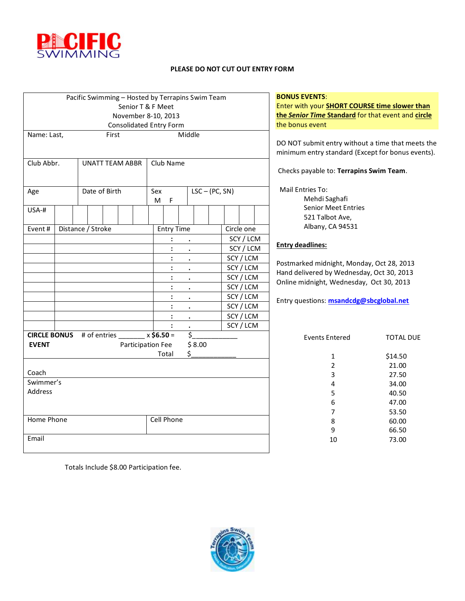

#### **PLEASE DO NOT CUT OUT ENTRY FORM**

|                                                           |  | Pacific Swimming - Hosted by Terrapins Swim Team |       |  |  |                         |                   |           |        |                  |           |            | <b>BONU</b>  |
|-----------------------------------------------------------|--|--------------------------------------------------|-------|--|--|-------------------------|-------------------|-----------|--------|------------------|-----------|------------|--------------|
|                                                           |  |                                                  |       |  |  | Senior T & F Meet       |                   |           |        |                  |           |            | Enter        |
| November 8-10, 2013                                       |  |                                                  |       |  |  |                         |                   |           | the Se |                  |           |            |              |
|                                                           |  |                                                  |       |  |  | Consolidated Entry Form |                   |           |        |                  |           |            | the bo       |
| Name: Last,                                               |  |                                                  | First |  |  |                         |                   | Middle    |        |                  |           |            |              |
|                                                           |  |                                                  |       |  |  |                         |                   |           |        |                  |           |            | DO NO        |
|                                                           |  |                                                  |       |  |  |                         |                   |           |        |                  |           |            | minim        |
| Club Abbr.                                                |  | <b>UNATT TEAM ABBR</b>                           |       |  |  |                         | Club Name         |           |        |                  |           |            |              |
|                                                           |  |                                                  |       |  |  |                         |                   |           |        |                  |           |            | Checl        |
|                                                           |  |                                                  |       |  |  |                         |                   |           |        |                  |           |            |              |
| Age                                                       |  | Date of Birth                                    |       |  |  | Sex                     |                   |           |        | $LSC - (PC, SN)$ |           |            |              |
|                                                           |  |                                                  |       |  |  | M                       | F                 |           |        |                  |           |            |              |
| USA-#                                                     |  |                                                  |       |  |  |                         |                   |           |        |                  |           |            |              |
|                                                           |  |                                                  |       |  |  |                         |                   |           |        |                  |           |            |              |
| Event#                                                    |  | Distance / Stroke                                |       |  |  |                         | <b>Entry Time</b> |           |        |                  |           | Circle one |              |
|                                                           |  |                                                  |       |  |  |                         |                   |           |        |                  | SCY / LCM |            | <b>Entry</b> |
|                                                           |  |                                                  |       |  |  |                         |                   |           |        |                  |           | SCY / LCM  |              |
|                                                           |  |                                                  |       |  |  |                         |                   | $\bullet$ |        |                  |           | SCY / LCM  | Postm        |
|                                                           |  |                                                  |       |  |  |                         | :                 | $\bullet$ |        |                  |           | SCY / LCM  | Hand         |
|                                                           |  |                                                  |       |  |  |                         |                   | $\bullet$ |        |                  |           | SCY / LCM  | Online       |
|                                                           |  |                                                  |       |  |  |                         |                   | $\bullet$ |        |                  |           | SCY / LCM  |              |
|                                                           |  |                                                  |       |  |  |                         | :                 | $\bullet$ |        |                  |           | SCY / LCM  | Entry        |
|                                                           |  |                                                  |       |  |  |                         | $\ddot{\cdot}$    | $\bullet$ |        |                  |           | SCY / LCM  |              |
|                                                           |  |                                                  |       |  |  |                         | $\ddot{\cdot}$    | $\bullet$ |        |                  |           | SCY / LCM  |              |
|                                                           |  |                                                  |       |  |  |                         |                   |           |        |                  |           | SCY / LCM  |              |
| <b>CIRCLE BONUS</b> # of entries $\frac{1}{2}$ x \$6.50 = |  |                                                  |       |  |  |                         |                   |           | \$     |                  |           |            |              |
| <b>EVENT</b>                                              |  |                                                  |       |  |  | Participation Fee       |                   |           | \$8.00 |                  |           |            |              |
|                                                           |  |                                                  |       |  |  |                         | Total             | \$        |        |                  |           |            |              |
|                                                           |  |                                                  |       |  |  |                         |                   |           |        |                  |           |            |              |
| Coach                                                     |  |                                                  |       |  |  |                         |                   |           |        |                  |           |            |              |
| Swimmer's                                                 |  |                                                  |       |  |  |                         |                   |           |        |                  |           |            |              |
| Address                                                   |  |                                                  |       |  |  |                         |                   |           |        |                  |           |            |              |
|                                                           |  |                                                  |       |  |  |                         |                   |           |        |                  |           |            |              |
|                                                           |  |                                                  |       |  |  |                         |                   |           |        |                  |           |            |              |
| Home Phone                                                |  |                                                  |       |  |  | Cell Phone              |                   |           |        |                  |           |            |              |
|                                                           |  |                                                  |       |  |  |                         |                   |           |        |                  |           |            |              |
| Email                                                     |  |                                                  |       |  |  |                         |                   |           |        |                  |           |            |              |

#### **BOSHIS EVENTS:**

with your **SHORT COURSE time slower than the** *Senior Time* **Standard** for that event and **circle** onus event

OT submit entry without a time that meets the num entry standard (Except for bonus events).

ks payable to: **Terrapins Swim Team**.

Entries To:

Mehdi Saghafi Senior Meet Entries 521 Talbot Ave, Albany, CA 94531

#### **Entry deadlines:**

arked midnight, Monday, Oct 28, 2013 delivered by Wednesday, Oct 30, 2013 e midnight, Wednesday, Oct 30, 2013

Entry questions: **[msandcdg@sbcglobal.net](mailto:msandcdg@sbcglobal.net)**

| <b>Events Entered</b> | <b>TOTAL DUE</b> |
|-----------------------|------------------|
| 1                     | \$14.50          |
| 2                     | 21.00            |
| 3                     | 27.50            |
| 4                     | 34.00            |
| 5                     | 40.50            |
| 6                     | 47.00            |
| 7                     | 53.50            |
| 8                     | 60.00            |
| 9                     | 66.50            |
| 10                    | 73.00            |
|                       |                  |

Totals Include \$8.00 Participation fee.